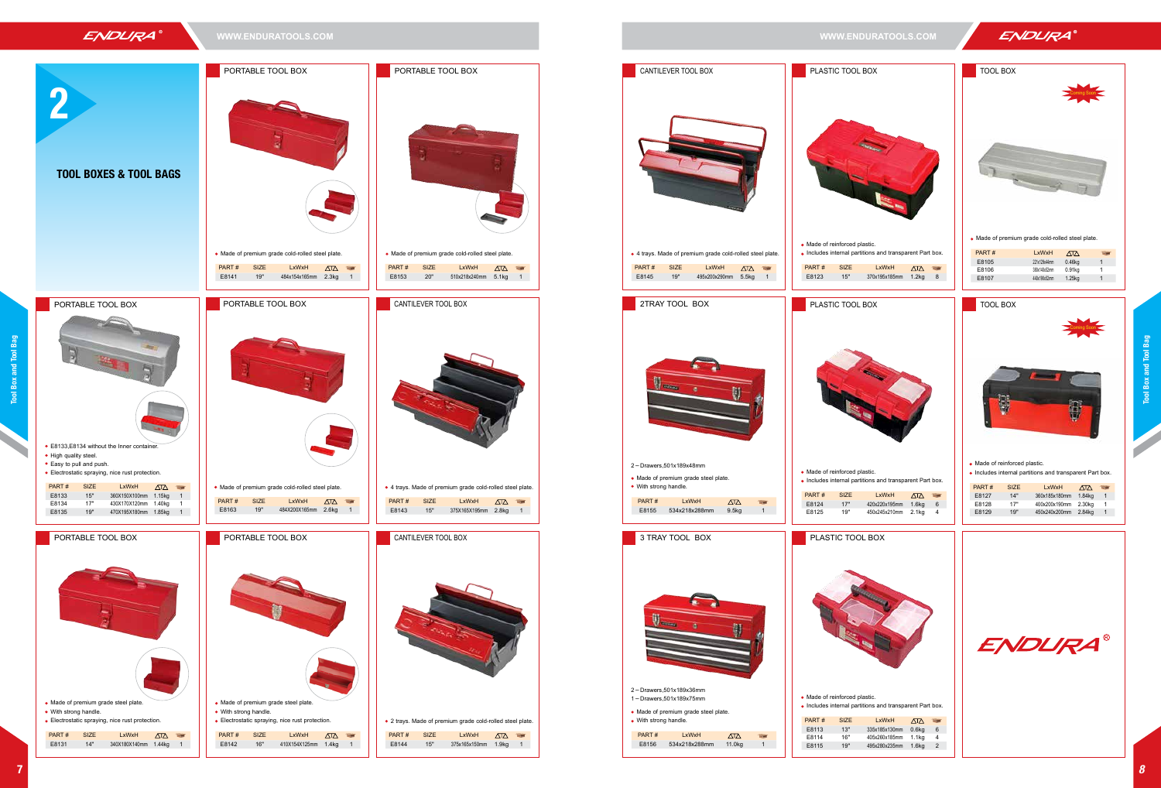- Made of reinforced plastic.
- Includes internal partitions and transparent Part box.





| .xWxH     | $\wedge\overline{\wedge}$ |   |
|-----------|---------------------------|---|
| 195x185mm | 1.2 <sub>kq</sub>         | 8 |

| PART# | <b>SIZE</b> | LxWxH         | $\sqrt{2}$ | <b>COL</b> |
|-------|-------------|---------------|------------|------------|
| E8127 | 14"         | 360x185x180mm | 1.84kg     | 1          |
| E8128 | 17"         | 400x200x190mm | 2.30kg     | 1          |
| E8129 | 19"         | 450x240x200mm | 2.84kg     | 1          |
|       |             |               |            |            |

| LxWxH      | ∠⊡∆               |   |
|------------|-------------------|---|
| (185x130mm | 0.6 <sub>kq</sub> | 6 |
| 260x185mm  | 1.1 <sub>kq</sub> | 4 |
| <280x235mm | 1.6ka             | 2 |



Made of premium grade cold-rolled steel plate.

| PART# | LxWxH        | <b>ATA</b> | 58 |
|-------|--------------|------------|----|
|       |              |            |    |
| E8105 | 221x129x44mm | 0.46kg     |    |
| E8106 | 380x140x52mm |            |    |
|       |              | 0.91kg     |    |
| E8107 | 440x190x52mm | 1.25kg     |    |
|       |              |            |    |
|       |              |            |    |





**ENDURA**®